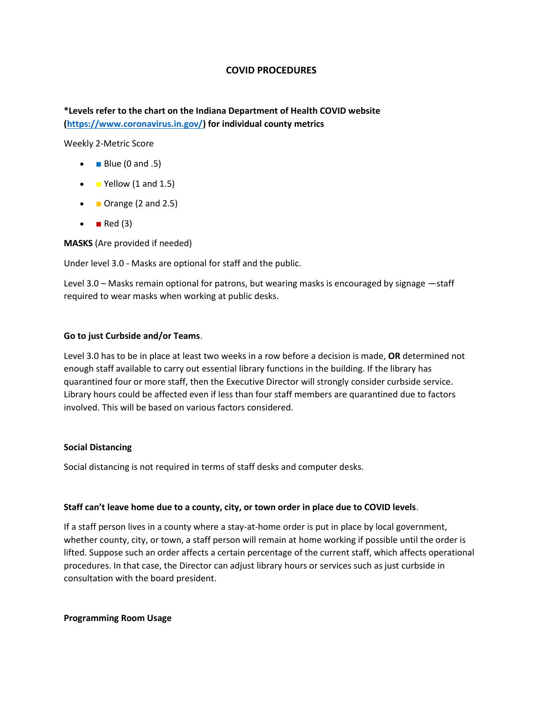# **COVID PROCEDURES**

**\*Levels refer to the chart on the Indiana Department of Health COVID website [\(https://www.coronavirus.in.gov/\)](https://www.coronavirus.in.gov/) for individual county metrics**

Weekly 2-Metric Score

- $\bullet$  **Blue (0 and .5)**
- $\blacksquare$  Yellow (1 and 1.5)
- **Drange (2 and 2.5)**
- $\blacksquare$  Red (3)

**MASKS** (Are provided if needed)

Under level 3.0 - Masks are optional for staff and the public.

Level 3.0 – Masks remain optional for patrons, but wearing masks is encouraged by signage —staff required to wear masks when working at public desks.

## **Go to just Curbside and/or Teams**.

Level 3.0 has to be in place at least two weeks in a row before a decision is made, **OR** determined not enough staff available to carry out essential library functions in the building. If the library has quarantined four or more staff, then the Executive Director will strongly consider curbside service. Library hours could be affected even if less than four staff members are quarantined due to factors involved. This will be based on various factors considered.

### **Social Distancing**

Social distancing is not required in terms of staff desks and computer desks.

### **Staff can't leave home due to a county, city, or town order in place due to COVID levels**.

If a staff person lives in a county where a stay-at-home order is put in place by local government, whether county, city, or town, a staff person will remain at home working if possible until the order is lifted. Suppose such an order affects a certain percentage of the current staff, which affects operational procedures. In that case, the Director can adjust library hours or services such as just curbside in consultation with the board president.

### **Programming Room Usage**